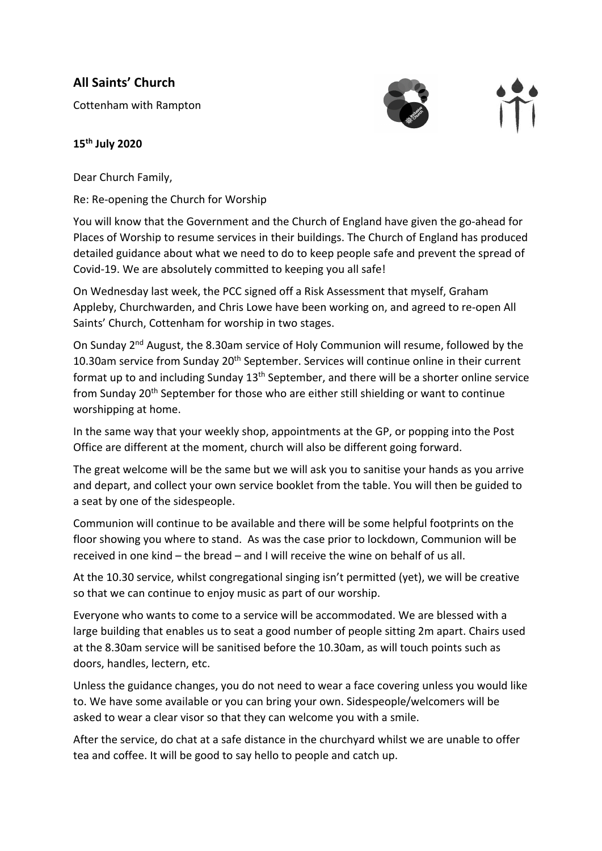## **All Saints' Church**

Cottenham with Rampton



## **15th July 2020**

Dear Church Family,

Re: Re-opening the Church for Worship

You will know that the Government and the Church of England have given the go-ahead for Places of Worship to resume services in their buildings. The Church of England has produced detailed guidance about what we need to do to keep people safe and prevent the spread of Covid-19. We are absolutely committed to keeping you all safe!

On Wednesday last week, the PCC signed off a Risk Assessment that myself, Graham Appleby, Churchwarden, and Chris Lowe have been working on, and agreed to re-open All Saints' Church, Cottenham for worship in two stages.

On Sunday 2<sup>nd</sup> August, the 8.30am service of Holy Communion will resume, followed by the 10.30am service from Sunday 20<sup>th</sup> September. Services will continue online in their current format up to and including Sunday 13<sup>th</sup> September, and there will be a shorter online service from Sunday 20<sup>th</sup> September for those who are either still shielding or want to continue worshipping at home.

In the same way that your weekly shop, appointments at the GP, or popping into the Post Office are different at the moment, church will also be different going forward.

The great welcome will be the same but we will ask you to sanitise your hands as you arrive and depart, and collect your own service booklet from the table. You will then be guided to a seat by one of the sidespeople.

Communion will continue to be available and there will be some helpful footprints on the floor showing you where to stand. As was the case prior to lockdown, Communion will be received in one kind – the bread – and I will receive the wine on behalf of us all.

At the 10.30 service, whilst congregational singing isn't permitted (yet), we will be creative so that we can continue to enjoy music as part of our worship.

Everyone who wants to come to a service will be accommodated. We are blessed with a large building that enables us to seat a good number of people sitting 2m apart. Chairs used at the 8.30am service will be sanitised before the 10.30am, as will touch points such as doors, handles, lectern, etc.

Unless the guidance changes, you do not need to wear a face covering unless you would like to. We have some available or you can bring your own. Sidespeople/welcomers will be asked to wear a clear visor so that they can welcome you with a smile.

After the service, do chat at a safe distance in the churchyard whilst we are unable to offer tea and coffee. It will be good to say hello to people and catch up.